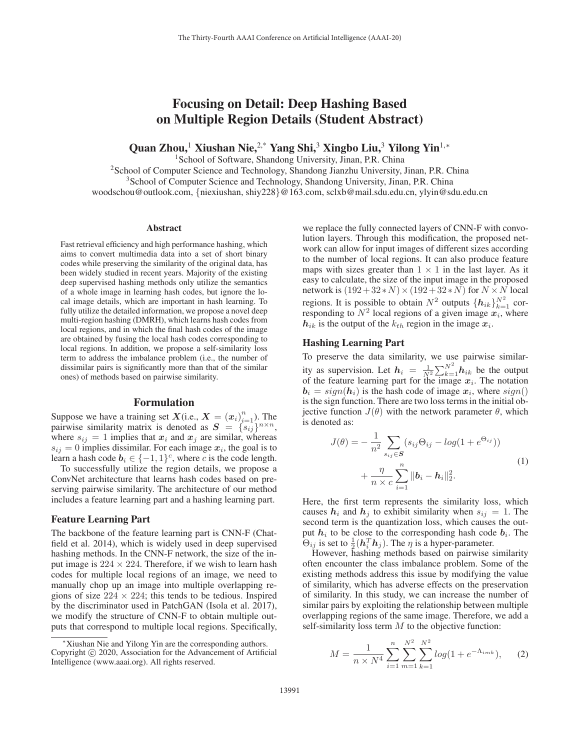# Focusing on Detail: Deep Hashing Based on Multiple Region Details (Student Abstract)

Quan Zhou,<sup>1</sup> Xiushan Nie,<sup>2,\*</sup> Yang Shi,<sup>3</sup> Xingbo Liu,<sup>3</sup> Yilong Yin<sup>1,\*</sup>

<sup>1</sup>School of Software, Shandong University, Jinan, P.R. China

2School of Computer Science and Technology, Shandong Jianzhu University, Jinan, P.R. China <sup>3</sup>School of Computer Science and Technology, Shandong University, Jinan, P.R. China

woodschou@outlook.com, {niexiushan, shiy228}@163.com, sclxb@mail.sdu.edu.cn, ylyin@sdu.edu.cn

#### Abstract

Fast retrieval efficiency and high performance hashing, which aims to convert multimedia data into a set of short binary codes while preserving the similarity of the original data, has been widely studied in recent years. Majority of the existing deep supervised hashing methods only utilize the semantics of a whole image in learning hash codes, but ignore the local image details, which are important in hash learning. To fully utilize the detailed information, we propose a novel deep multi-region hashing (DMRH), which learns hash codes from local regions, and in which the final hash codes of the image are obtained by fusing the local hash codes corresponding to local regions. In addition, we propose a self-similarity loss term to address the imbalance problem (i.e., the number of dissimilar pairs is significantly more than that of the similar ones) of methods based on pairwise similarity.

## Formulation

Suppose we have a training set *X*(i.e.,  $X = (x_i)_{i=1}^n$ ). The pairwise similarity matrix is denoted as  $S = \{s_{ij}\}^{n \times n}$ , where  $s_{ij} = 1$  implies that  $x_i$  and  $x_j$  are similar, whereas  $s_{ij} = 0$  implies dissimilar. For each image  $x_i$ , the goal is to learn a hash code  $b_i \in \{-1, 1\}^c$ , where c is the code length.

To successfully utilize the region details, we propose a ConvNet architecture that learns hash codes based on preserving pairwise similarity. The architecture of our method includes a feature learning part and a hashing learning part.

## Feature Learning Part

The backbone of the feature learning part is CNN-F (Chatfield et al. 2014), which is widely used in deep supervised hashing methods. In the CNN-F network, the size of the input image is  $224 \times 224$ . Therefore, if we wish to learn hash codes for multiple local regions of an image, we need to manually chop up an image into multiple overlapping regions of size  $224 \times 224$ ; this tends to be tedious. Inspired by the discriminator used in PatchGAN (Isola et al. 2017), we modify the structure of CNN-F to obtain multiple outputs that correspond to multiple local regions. Specifically,

we replace the fully connected layers of CNN-F with convolution layers. Through this modification, the proposed network can allow for input images of different sizes according to the number of local regions. It can also produce feature maps with sizes greater than  $1 \times 1$  in the last layer. As it easy to calculate, the size of the input image in the proposed network is  $(192 + 32*N) \times (192 + 32*N)$  for  $N \times N$  local regions. It is possible to obtain  $N^2$  outputs  $\{h_{ik}\}_{k=1}^{N^2}$  corresponding to  $N^2$  local regions of a given image  $x$ ; where responding to  $N^2$  local regions of a given image  $x_i$ , where  $h_{ij}$  is the output of the  $k_{ik}$  region in the image  $x_i$  $h_{ik}$  is the output of the  $k_{th}$  region in the image  $x_i$ .

# Hashing Learning Part

To preserve the data similarity, we use pairwise similarity as supervision. Let  $h_i = \frac{1}{N^2} \sum_{k=1}^{N^2} h_{ik}$  be the output of the feature learning part for the image  $x_i$ . The notation  $\mathbf{b}_i = sign(\mathbf{h}_i)$  is the hash code of image  $\mathbf{x}_i$ , where  $sign()$ is the sign function. There are two loss terms in the initial objective function  $J(\theta)$  with the network parameter  $\theta$ , which is denoted as:

$$
J(\theta) = -\frac{1}{n^2} \sum_{s_{ij} \in \mathcal{S}} (s_{ij} \Theta_{ij} - log(1 + e^{\Theta_{ij}}))
$$
  
+ 
$$
\frac{\eta}{n \times c} \sum_{i=1}^n \|\mathbf{b}_i - \mathbf{h}_i\|_2^2.
$$
 (1)

Here, the first term represents the similarity loss, which causes  $h_i$  and  $h_j$  to exhibit similarity when  $s_{ij} = 1$ . The second term is the quantization loss, which causes the output  $h_i$  to be close to the corresponding hash code  $b_i$ . The  $\hat{\Theta}_{ij}$  is set to  $\frac{1}{2} (h_i^T h_j)$ . The  $\eta$  is a hyper-parameter.<br>However, hashing methods based on pairwise

However, hashing methods based on pairwise similarity often encounter the class imbalance problem. Some of the existing methods address this issue by modifying the value of similarity, which has adverse effects on the preservation of similarity. In this study, we can increase the number of similar pairs by exploiting the relationship between multiple overlapping regions of the same image. Therefore, we add a self-similarity loss term  $M$  to the objective function:

$$
M = \frac{1}{n \times N^4} \sum_{i=1}^{n} \sum_{m=1}^{N^2} \sum_{k=1}^{N^2} log(1 + e^{-\Lambda_{imk}}), \quad (2)
$$

<sup>∗</sup>Xiushan Nie and Yilong Yin are the corresponding authors. Copyright  $\odot$  2020, Association for the Advancement of Artificial Intelligence (www.aaai.org). All rights reserved.